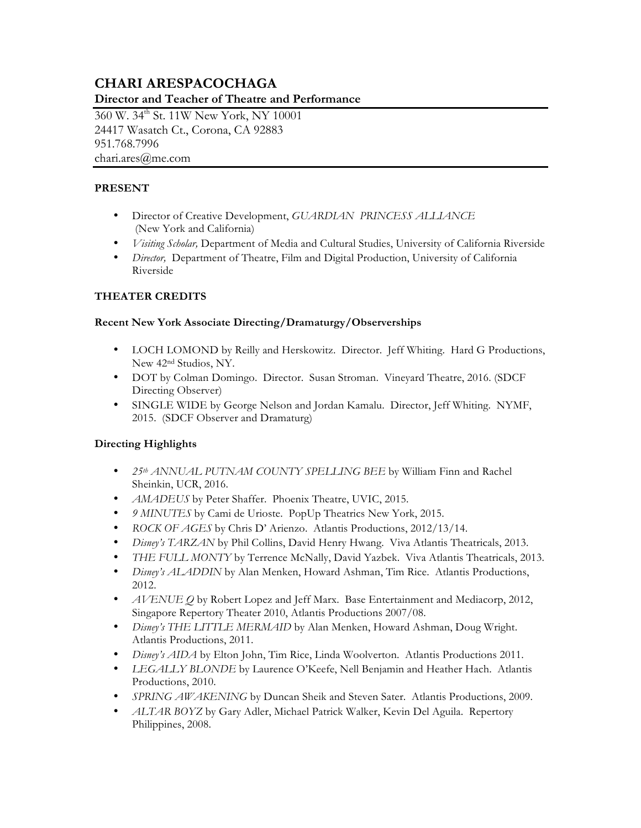# **CHARI ARESPACOCHAGA Director and Teacher of Theatre and Performance**

360 W. 34<sup>th</sup> St. 11W New York, NY 10001 24417 Wasatch Ct., Corona, CA 92883 951.768.7996 chari.ares@me.com

# **PRESENT**

- Director of Creative Development, *GUARDIAN PRINCESS ALLIANCE* (New York and California)
- *Visiting Scholar,* Department of Media and Cultural Studies, University of California Riverside
- *Director,* Department of Theatre, Film and Digital Production, University of California Riverside

# **THEATER CREDITS**

# **Recent New York Associate Directing/Dramaturgy/Observerships**

- LOCH LOMOND by Reilly and Herskowitz. Director. Jeff Whiting. Hard G Productions, New 42nd Studios, NY.
- DOT by Colman Domingo. Director. Susan Stroman. Vineyard Theatre, 2016. (SDCF Directing Observer)
- SINGLE WIDE by George Nelson and Jordan Kamalu. Director, Jeff Whiting. NYMF, 2015. (SDCF Observer and Dramaturg)

# **Directing Highlights**

- *25th ANNUAL PUTNAM COUNTY SPELLING BEE* by William Finn and Rachel Sheinkin, UCR, 2016.
- *AMADEUS* by Peter Shaffer. Phoenix Theatre, UVIC, 2015.
- *9 MINUTES* by Cami de Urioste. PopUp Theatrics New York, 2015.
- *ROCK OF AGES* by Chris D' Arienzo. Atlantis Productions, 2012/13/14.
- *Disney's TARZAN* by Phil Collins, David Henry Hwang. Viva Atlantis Theatricals, 2013.
- *THE FULL MONTY* by Terrence McNally, David Yazbek. Viva Atlantis Theatricals, 2013.
- *Disney's ALADDIN* by Alan Menken, Howard Ashman, Tim Rice. Atlantis Productions, 2012.
- *AVENUE Q* by Robert Lopez and Jeff Marx. Base Entertainment and Mediacorp, 2012, Singapore Repertory Theater 2010, Atlantis Productions 2007/08.
- *Disney's THE LITTLE MERMAID* by Alan Menken, Howard Ashman, Doug Wright. Atlantis Productions, 2011.
- *Disney's AIDA* by Elton John, Tim Rice, Linda Woolverton. Atlantis Productions 2011.
- *LEGALLY BLONDE* by Laurence O'Keefe, Nell Benjamin and Heather Hach. Atlantis Productions, 2010.
- *SPRING AWAKENING* by Duncan Sheik and Steven Sater. Atlantis Productions, 2009.
- *ALTAR BOYZ* by Gary Adler, Michael Patrick Walker, Kevin Del Aguila. Repertory Philippines, 2008.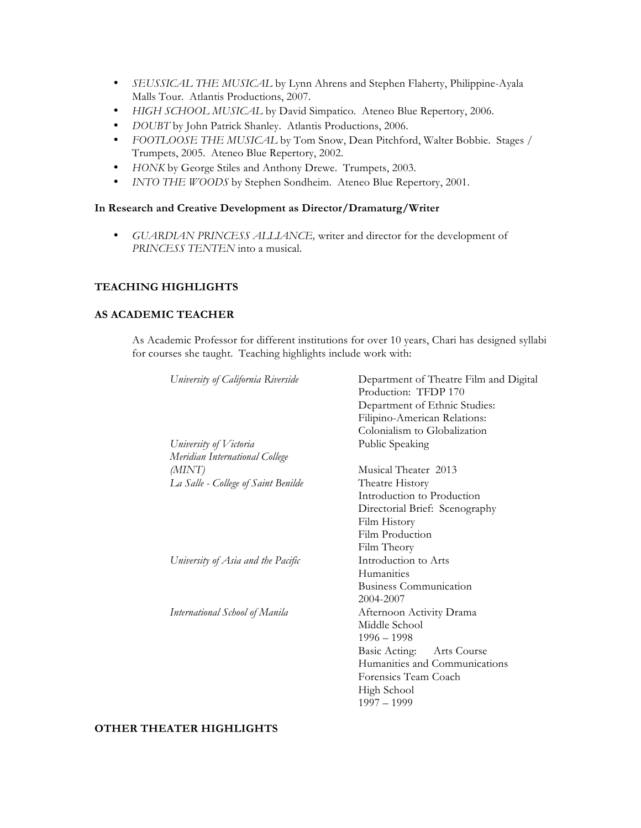- *SEUSSICAL THE MUSICAL* by Lynn Ahrens and Stephen Flaherty, Philippine-Ayala Malls Tour. Atlantis Productions, 2007.
- *HIGH SCHOOL MUSICAL* by David Simpatico. Ateneo Blue Repertory, 2006.
- *DOUBT* by John Patrick Shanley. Atlantis Productions, 2006.
- *FOOTLOOSE THE MUSICAL* by Tom Snow, Dean Pitchford, Walter Bobbie. Stages / Trumpets, 2005. Ateneo Blue Repertory, 2002.
- *HONK* by George Stiles and Anthony Drewe. Trumpets, 2003.
- *INTO THE WOODS* by Stephen Sondheim. Ateneo Blue Repertory, 2001.

### **In Research and Creative Development as Director/Dramaturg/Writer**

• *GUARDIAN PRINCESS ALLIANCE,* writer and director for the development of *PRINCESS TENTEN* into a musical.

## **TEACHING HIGHLIGHTS**

#### **AS ACADEMIC TEACHER**

As Academic Professor for different institutions for over 10 years, Chari has designed syllabi for courses she taught. Teaching highlights include work with:

| University of California Riverside  | Department of Theatre Film and Digital |
|-------------------------------------|----------------------------------------|
|                                     | Production: TFDP 170                   |
|                                     | Department of Ethnic Studies:          |
|                                     | Filipino-American Relations:           |
|                                     | Colonialism to Globalization           |
| University of Victoria              | Public Speaking                        |
| Meridian International College      |                                        |
| (MINT)                              | Musical Theater 2013                   |
| La Salle - College of Saint Benilde | Theatre History                        |
|                                     | Introduction to Production             |
|                                     | Directorial Brief: Scenography         |
|                                     | Film History                           |
|                                     | Film Production                        |
|                                     | Film Theory                            |
| University of Asia and the Pacific  | Introduction to Arts                   |
|                                     | Humanities                             |
|                                     | <b>Business Communication</b>          |
|                                     | 2004-2007                              |
| International School of Manila      | Afternoon Activity Drama               |
|                                     | Middle School                          |
|                                     | $1996 - 1998$                          |
|                                     | Basic Acting: Arts Course              |
|                                     | Humanities and Communications          |
|                                     | Forensics Team Coach                   |
|                                     | High School                            |
|                                     | $1997 - 1999$                          |
|                                     |                                        |

#### **OTHER THEATER HIGHLIGHTS**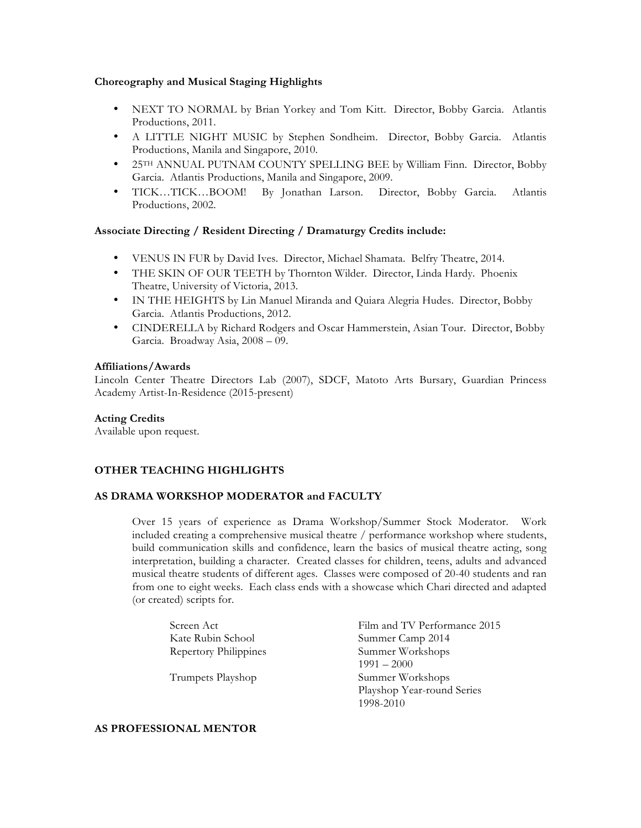#### **Choreography and Musical Staging Highlights**

- NEXT TO NORMAL by Brian Yorkey and Tom Kitt. Director, Bobby Garcia. Atlantis Productions, 2011.
- A LITTLE NIGHT MUSIC by Stephen Sondheim. Director, Bobby Garcia. Atlantis Productions, Manila and Singapore, 2010.
- 25TH ANNUAL PUTNAM COUNTY SPELLING BEE by William Finn. Director, Bobby Garcia. Atlantis Productions, Manila and Singapore, 2009.
- TICK…TICK…BOOM! By Jonathan Larson. Director, Bobby Garcia. Atlantis Productions, 2002.

### **Associate Directing / Resident Directing / Dramaturgy Credits include:**

- VENUS IN FUR by David Ives. Director, Michael Shamata. Belfry Theatre, 2014.
- THE SKIN OF OUR TEETH by Thornton Wilder. Director, Linda Hardy. Phoenix Theatre, University of Victoria, 2013.
- IN THE HEIGHTS by Lin Manuel Miranda and Quiara Alegria Hudes. Director, Bobby Garcia. Atlantis Productions, 2012.
- CINDERELLA by Richard Rodgers and Oscar Hammerstein, Asian Tour. Director, Bobby Garcia. Broadway Asia, 2008 – 09.

#### **Affiliations/Awards**

Lincoln Center Theatre Directors Lab (2007), SDCF, Matoto Arts Bursary, Guardian Princess Academy Artist-In-Residence (2015-present)

#### **Acting Credits**

Available upon request.

#### **OTHER TEACHING HIGHLIGHTS**

### **AS DRAMA WORKSHOP MODERATOR and FACULTY**

Over 15 years of experience as Drama Workshop/Summer Stock Moderator. Work included creating a comprehensive musical theatre / performance workshop where students, build communication skills and confidence, learn the basics of musical theatre acting, song interpretation, building a character. Created classes for children, teens, adults and advanced musical theatre students of different ages. Classes were composed of 20-40 students and ran from one to eight weeks. Each class ends with a showcase which Chari directed and adapted (or created) scripts for.

| Screen Act            | Film and TV Performance 2015 |
|-----------------------|------------------------------|
| Kate Rubin School     | Summer Camp 2014             |
| Repertory Philippines | Summer Workshops             |
|                       | $1991 - 2000$                |
| Trumpets Playshop     | Summer Workshops             |
|                       | Playshop Year-round Series   |
|                       | 1998-2010                    |

#### **AS PROFESSIONAL MENTOR**